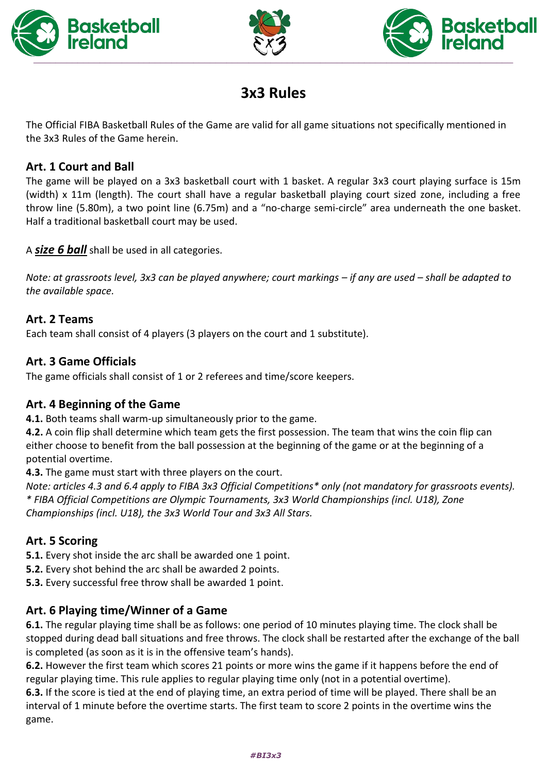





# **3x3 Rules**

The Official FIBA Basketball Rules of the Game are valid for all game situations not specifically mentioned in the 3x3 Rules of the Game herein.

# **Art. 1 Court and Ball**

The game will be played on a 3x3 basketball court with 1 basket. A regular 3x3 court playing surface is 15m (width) x 11m (length). The court shall have a regular basketball playing court sized zone, including a free throw line (5.80m), a two point line (6.75m) and a "no-charge semi-circle" area underneath the one basket. Half a traditional basketball court may be used.

A *size 6 ball* shall be used in all categories.

*Note: at grassroots level, 3x3 can be played anywhere; court markings – if any are used – shall be adapted to the available space.*

### **Art. 2 Teams**

Each team shall consist of 4 players (3 players on the court and 1 substitute).

### **Art. 3 Game Officials**

The game officials shall consist of 1 or 2 referees and time/score keepers.

#### **Art. 4 Beginning of the Game**

**4.1.** Both teams shall warm-up simultaneously prior to the game.

**4.2.** A coin flip shall determine which team gets the first possession. The team that wins the coin flip can either choose to benefit from the ball possession at the beginning of the game or at the beginning of a potential overtime.

**4.3.** The game must start with three players on the court.

*Note: articles 4.3 and 6.4 apply to FIBA 3x3 Official Competitions\* only (not mandatory for grassroots events). \* FIBA Official Competitions are Olympic Tournaments, 3x3 World Championships (incl. U18), Zone Championships (incl. U18), the 3x3 World Tour and 3x3 All Stars.*

## **Art. 5 Scoring**

**5.1.** Every shot inside the arc shall be awarded one 1 point.

- **5.2.** Every shot behind the arc shall be awarded 2 points.
- **5.3.** Every successful free throw shall be awarded 1 point.

## **Art. 6 Playing time/Winner of a Game**

**6.1.** The regular playing time shall be as follows: one period of 10 minutes playing time. The clock shall be stopped during dead ball situations and free throws. The clock shall be restarted after the exchange of the ball is completed (as soon as it is in the offensive team's hands).

**6.2.** However the first team which scores 21 points or more wins the game if it happens before the end of regular playing time. This rule applies to regular playing time only (not in a potential overtime).

**6.3.** If the score is tied at the end of playing time, an extra period of time will be played. There shall be an interval of 1 minute before the overtime starts. The first team to score 2 points in the overtime wins the game.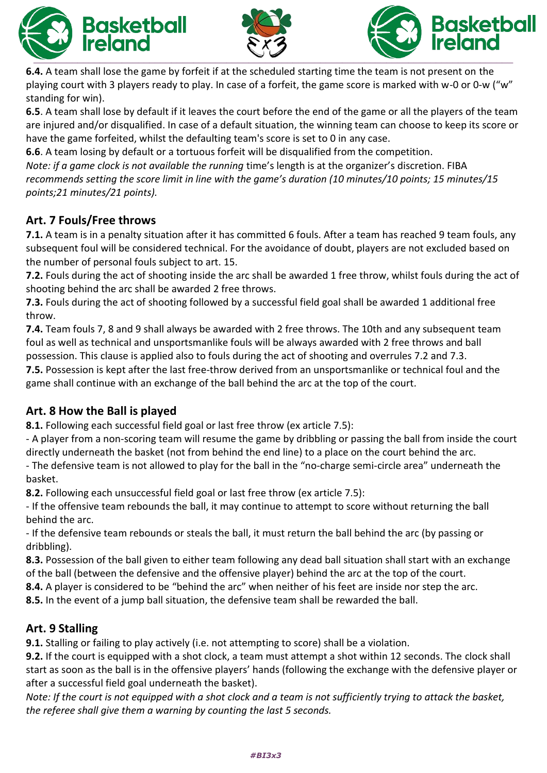





**6.4.** A team shall lose the game by forfeit if at the scheduled starting time the team is not present on the playing court with 3 players ready to play. In case of a forfeit, the game score is marked with w-0 or 0-w ("w" standing for win).

**6.5**. A team shall lose by default if it leaves the court before the end of the game or all the players of the team are injured and/or disqualified. In case of a default situation, the winning team can choose to keep its score or have the game forfeited, whilst the defaulting team's score is set to 0 in any case.

**6.6**. A team losing by default or a tortuous forfeit will be disqualified from the competition.

*Note: if a game clock is not available the running time's length is at the organizer's discretion. FIBA recommends setting the score limit in line with the game's duration (10 minutes/10 points; 15 minutes/15 points;21 minutes/21 points).*

## **Art. 7 Fouls/Free throws**

**7.1.** A team is in a penalty situation after it has committed 6 fouls. After a team has reached 9 team fouls, any subsequent foul will be considered technical. For the avoidance of doubt, players are not excluded based on the number of personal fouls subject to art. 15.

**7.2.** Fouls during the act of shooting inside the arc shall be awarded 1 free throw, whilst fouls during the act of shooting behind the arc shall be awarded 2 free throws.

**7.3.** Fouls during the act of shooting followed by a successful field goal shall be awarded 1 additional free throw.

**7.4.** Team fouls 7, 8 and 9 shall always be awarded with 2 free throws. The 10th and any subsequent team foul as well as technical and unsportsmanlike fouls will be always awarded with 2 free throws and ball possession. This clause is applied also to fouls during the act of shooting and overrules 7.2 and 7.3. **7.5.** Possession is kept after the last free-throw derived from an unsportsmanlike or technical foul and the

game shall continue with an exchange of the ball behind the arc at the top of the court*.*

## **Art. 8 How the Ball is played**

**8.1.** Following each successful field goal or last free throw (ex article 7.5):

- A player from a non-scoring team will resume the game by dribbling or passing the ball from inside the court directly underneath the basket (not from behind the end line) to a place on the court behind the arc.

- The defensive team is not allowed to play for the ball in the "no-charge semi-circle area" underneath the basket.

**8.2.** Following each unsuccessful field goal or last free throw (ex article 7.5):

- If the offensive team rebounds the ball, it may continue to attempt to score without returning the ball behind the arc.

- If the defensive team rebounds or steals the ball, it must return the ball behind the arc (by passing or dribbling).

**8.3.** Possession of the ball given to either team following any dead ball situation shall start with an exchange of the ball (between the defensive and the offensive player) behind the arc at the top of the court.

**8.4.** A player is considered to be "behind the arc" when neither of his feet are inside nor step the arc.

**8.5.** In the event of a jump ball situation, the defensive team shall be rewarded the ball.

## **Art. 9 Stalling**

**9.1.** Stalling or failing to play actively (i.e. not attempting to score) shall be a violation.

**9.2.** If the court is equipped with a shot clock, a team must attempt a shot within 12 seconds. The clock shall start as soon as the ball is in the offensive players' hands (following the exchange with the defensive player or after a successful field goal underneath the basket).

*Note: If the court is not equipped with a shot clock and a team is not sufficiently trying to attack the basket, the referee shall give them a warning by counting the last 5 seconds.*